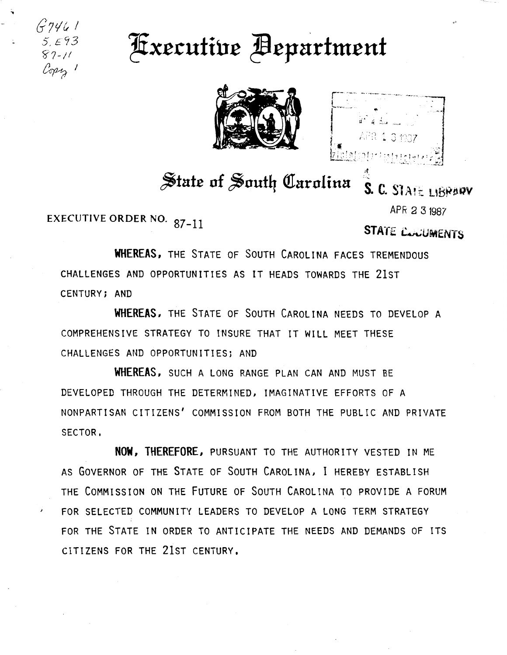G?<l& I 5,E93  $87 - 11$  $cm_{\gamma}$ .

## ~xc.cutiuc ~cpnrtmcut



;f

## State of South Carolina  $\frac{1}{s}$ . C. SlAte LIBRARY

EXECUTIVE ORDER NO. 87-11

o'

APR 2 31987

STATE CONJINENTS

WHEREAS, THE STATE OF SOUTH CAROLINA FACES TREMENDOUS CHALLENGES AND OPPORTUNITIES AS IT HEADS TOWARDS THE 21ST CENTURY; AND

WHEREAS, THE STATE OF SoUTH CAROLINA NEEDS TO DEVELOP A COMPREHENSIVE STRATEGY TO INSURE THAT IT WILL MEET THESE CHALLENGES AND OPPORTUNITIES; AND

WHEREAS, SUCH A LONG RANGE PLAN CAN AND MUST BE DEVELOPED THROUGH THE DETERMINED, IMAGINATIVE EFFORTS OF A NONPARTISAN CITIZENS' COMMISSION FROM BOTH THE PUBLIC AND PRIVATE SECTOR,

NOW, THEREFORE, PURSUANT TO THE AUTHORITY VESTED IN ME AS GOVERNOR OF THE STATE OF SOUTH CAROLINA, I HEREBY ESTABLISH THE COMMISSION ON THE FUTURE OF SOUTH CAROLINA TO PROVIDE A FORUM FOR SELECTED COMMUNITY LEADERS TO DEVELOP A LONG TERM STRATEGY FOR THE STATE IN ORDER TO ANTICIPATE THE NEEDS AND DEMANDS OF ITS CITIZENS FOR THE 21ST CENTURY.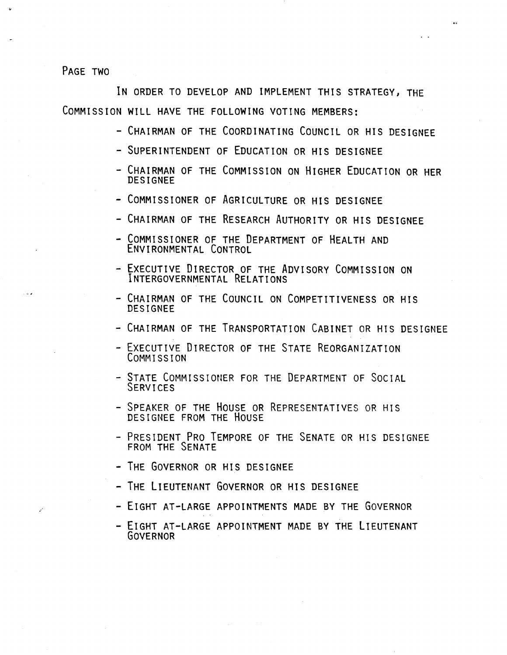PAGE TWO

IN ORDER TO DEVELOP AND IMPLEMENT THIS STRATEGY, THE COMMISSION WILL HAVE THE FOLLOWING VOTING MEMBERS:

- CHAIRMAN OF THE COORDINATING COUNCIL OR HIS DESIGNEE
- SUPERINTENDENT OF EDUCATION OR HIS DESIGNEE
- CHAIRMAN OF THE COMMISSION ON HIGHER EDUCATION OR HER DESIGNEE
- COMMISSIONER OF AGRICULTURE OR HIS DESIGNEE
- CHAIRMAN OF THE RESEARCH AUTHORITY OR HIS DESIGNEE
- COMMISSIONER OF THE DEPARTMENT OF HEALTH AND ENVIRONMENTAL CONTROL
- EXECUTIVE DIRECTOR OF THE ADVISORY COMMISSION ON INTERGOVERNMENTAL RELATIONS
- CHAIRMAN OF THE COUNCIL ON COMPETITIVENESS OR HIS **DESIGNEE**
- CHAIRMAN OF THE TRANSPORTATION CABINET OR HIS DESIGNEE
- EXECUTIVE DIRECTOR OF THE STATE REORGANIZATION CoMMISSION
- STATE COMMISSIONER FOR THE DEPARTMENT OF SOCIAL SERVICES
- SPEAKER OF THE HOUSE OR REPRESENTATIVES OR HIS DESIGNEE FROM THE HOUSE
- PRESIDENT PRO TEMPORE OF THE SENATE OR HIS DESIGNEE FROM THE SENATE
- THE GOVERNOR OR HIS DESIGNEE
- THE LIEUTENANT GOVERNOR OR HIS DESIGNEE
- EIGHT AT-LARGE APPOINTMENTS MADE BY THE GOVERNOR
- EIGHT AT-LARGE APPOINTMENT MADE BY THE LIEUTENANT GOVERNOR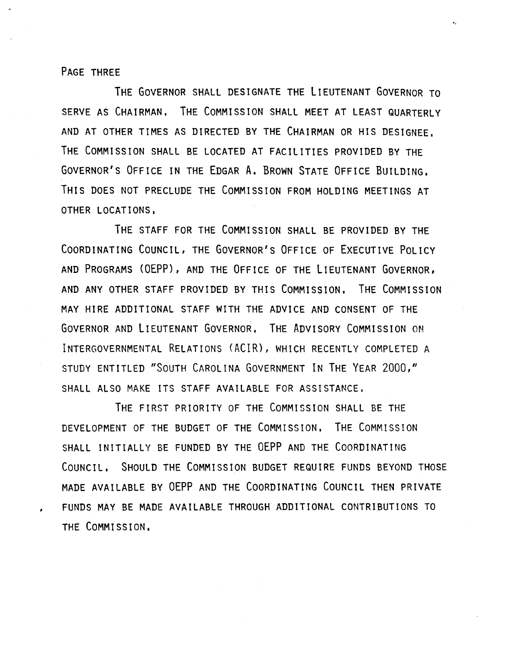PAGE THREE

,

THE GOVERNOR SHALL DESIGNATE THE LIEUTENANT GOVERNOR TO SERVE AS CHAIRMAN, THE COMMISSION SHALL MEET AT LEAST QUARTERLY AND AT OTHER TIMES AS DIRECTED BY THE CHAIRMAN OR HIS DESIGNEE, THE COMMISSION SHALL BE LOCATED AT FACILITIES PROVIDED BY THE GOVERNOR'S OFFICE IN THE EDGAR A. BROWN STATE OFFICE BUILDING, THIS DOES NOT PRECLUDE THE COMMISSION FROM HOLDING MEETINGS AT OTHER LOCATIONS,

THE STAFF FOR THE COMMISSION SHALL BE PROVIDED BY THE COORDINATING COUNCIL, THE GOVERNOR'S OFFICE OF EXECUTIVE POLICY AND PROGRAMS (OEPP), AND THE OFFICE OF THE LIEUTENANT GOVERNOR, AND ANY OTHER STAFF PROVIDED BY THIS COMMISSION, THE COMMISSION MAY HIRE ADDITIONAL STAFF WITH THE ADVICE AND CONSENT OF THE GOVERNOR AND LIEUTENANT GOVERNOR. THE ADVISORY COMMISSION ON INTERGOVERNMENTAL RELATIONS (ACIR), WHICH RECENTLY COMPLETED A STUDY ENTITLED "SOUTH CAROLINA GOVERNMENT IN THE YEAR 2000," SHALL ALSO MAKE ITS STAFF AVAILABLE FOR ASSISTANCE,

THE FIRST PRIORITY OF THE COMMISSION SHALL BE THE DEVELOPMENT OF THE BUDGET OF THE COMMISSION, THE COMMISSION SHALL INITIALLY BE FUNDED BY THE OEPP AND THE COORDINATING COUNCIL, SHOULD THE COMMISSION BUDGET REQUIRE FUNDS BEYOND THOSE MADE AVAILABLE BY OEPP AND THE COORDINATING COUNCIL THEN PRIVATE FUNDS MAY BE MADE AVAILABLE THROUGH ADDITIONAL CONTRIBUTIONS TO THE COMMISSION,